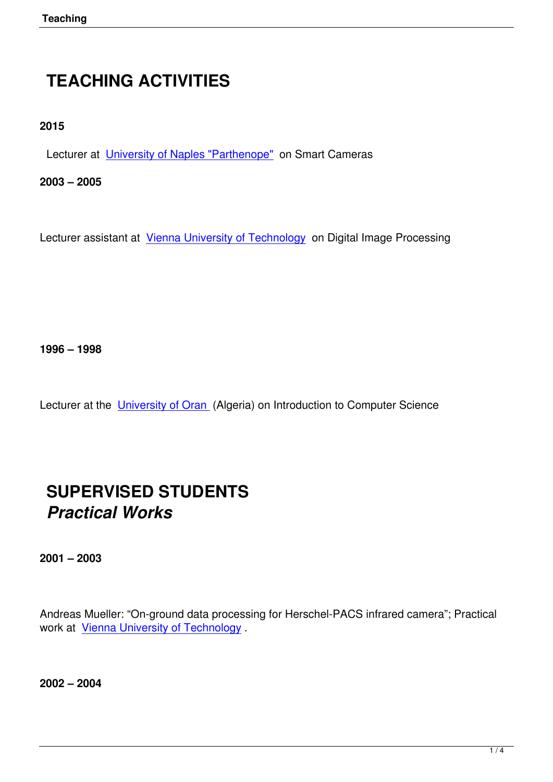# **TEACHING ACTIVITIES**

**2015**

Lecturer at University of Naples "Parthenope" on Smart Cameras

**2003 – 2005**

Lecturer assistant at Vienna University of Technology on Digital Image Processing

**1996 – 1998** 

Lecturer at the University of Oran (Algeria) on Introduction to Computer Science

# **SUPERVISED STUDENTS** *Practical Works*

**2001 – 2003**

Andreas Mueller: "On-ground data processing for Herschel-PACS infrared camera"; Practical work at Vienna University of Technology .

**2002 – [2004](http://www.tuwien.ac.at/)**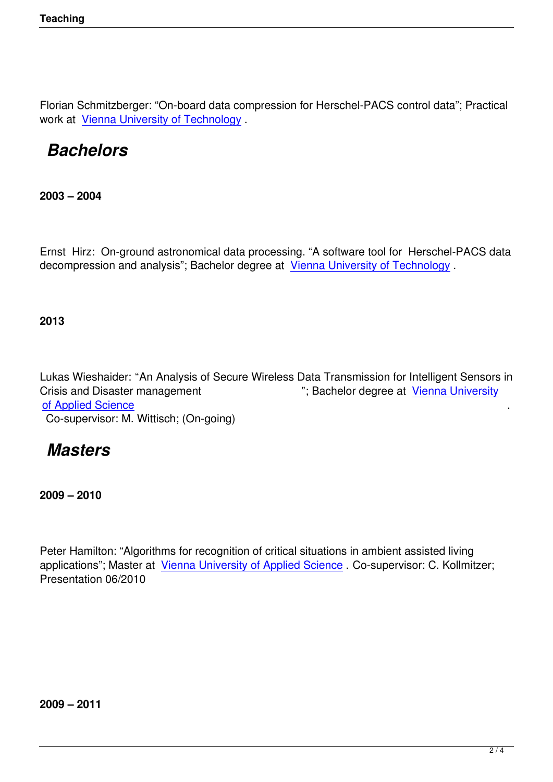Florian Schmitzberger: "On-board data compression for Herschel-PACS control data"; Practical work at Vienna University of Technology .

# *Bachelors*

**2003 – 2004**

Ernst Hirz: On-ground astronomical data processing. "A software tool for Herschel-PACS data decompression and analysis"; Bachelor degree at Vienna University of Technology .

**2013**

Lukas Wieshaider: "An Analysis of Secure Wireless Data Transmission for Intelligent Sensors in Crisis and Disaster management "; Bachelor degree at Vienna University of Applied Science Co-supervisor: M. Wittisch; (On-going)

### *[Masters](http://www.technikum-wien.at/)*

**2009 – 2010**

Peter Hamilton: "Algorithms for recognition of critical situations in ambient assisted living applications"; Master at Vienna University of Applied Science . Co-supervisor: C. Kollmitzer; Presentation 06/2010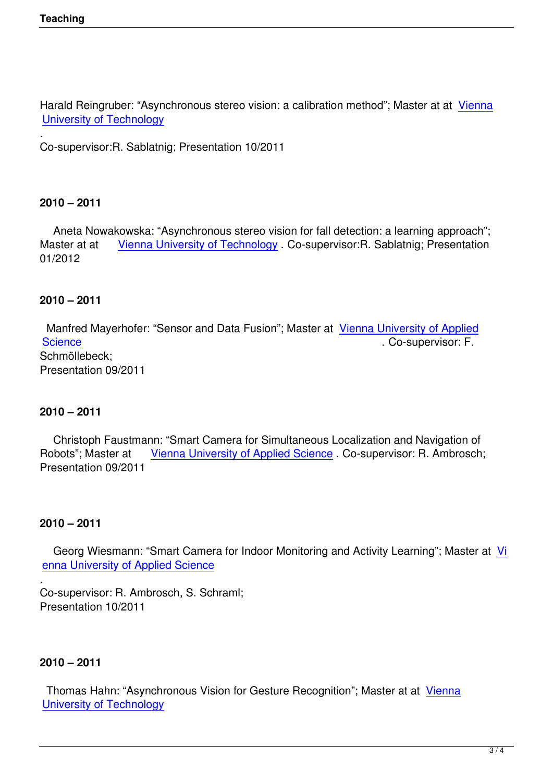Harald Reingruber: "Asynchronous stereo vision: a calibration method"; Master at at Vienna University of Technology

. Co-supervisor:R. Sablatnig; Presentation 10/2011

#### **2010 – 2011**

 Aneta Nowakowska: "Asynchronous stereo vision for fall detection: a learning approach"; Master at at Vienna University of Technology . Co-supervisor: R. Sablatnig; Presentation 01/2012

### **2010 – 2011**

 Manfred Mayerhofer: "Sensor and Data Fusion"; Master at Vienna University of Applied Science . Co-supervisor: F. Schmöllebeck; Presentation 09/2011

#### **2010 – 2011**

 Christoph Faustmann: "Smart Camera for Simultaneous Localization and Navigation of Robots"; Master at Vienna University of Applied Science . Co-supervisor: R. Ambrosch; Presentation 09/2011

#### **2010 – 2011**

.

 Georg Wiesmann: "Smart Camera for Indoor Monitoring and Activity Learning"; Master at Vi enna University of Applied Science

Co-supervisor: R. Ambrosch, S. Schraml; [Presentation 10/2011](http://www.technikum-wien.at/)

#### **2010 – 2011**

 Thomas Hahn: "Asynchronous Vision for Gesture Recognition"; Master at at Vienna University of Technology